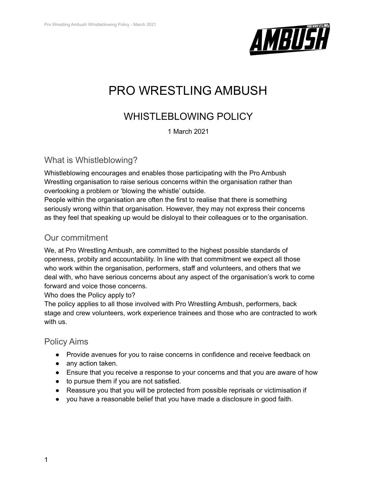

# PRO WRESTLING AMBUSH

# WHISTLEBLOWING POLICY

1 March 2021

#### What is Whistleblowing?

Whistleblowing encourages and enables those participating with the Pro Ambush Wrestling organisation to raise serious concerns within the organisation rather than overlooking a problem or 'blowing the whistle' outside.

People within the organisation are often the first to realise that there is something seriously wrong within that organisation. However, they may not express their concerns as they feel that speaking up would be disloyal to their colleagues or to the organisation.

## Our commitment

We, at Pro Wrestling Ambush, are committed to the highest possible standards of openness, probity and accountability. In line with that commitment we expect all those who work within the organisation, performers, staff and volunteers, and others that we deal with, who have serious concerns about any aspect of the organisation's work to come forward and voice those concerns.

Who does the Policy apply to?

The policy applies to all those involved with Pro Wrestling Ambush, performers, back stage and crew volunteers, work experience trainees and those who are contracted to work with us.

#### Policy Aims

- Provide avenues for you to raise concerns in confidence and receive feedback on
- any action taken.
- Ensure that you receive a response to your concerns and that you are aware of how
- to pursue them if you are not satisfied.
- Reassure you that you will be protected from possible reprisals or victimisation if
- you have a reasonable belief that you have made a disclosure in good faith.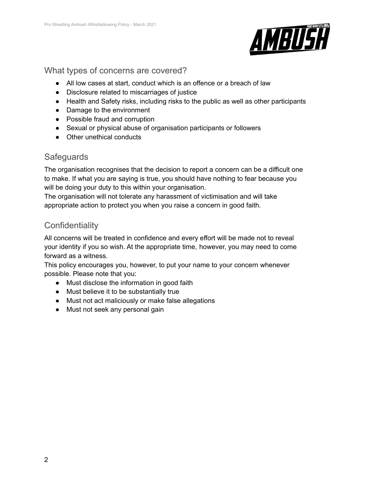

#### What types of concerns are covered?

- All low cases at start, conduct which is an offence or a breach of law
- Disclosure related to miscarriages of justice
- Health and Safety risks, including risks to the public as well as other participants
- Damage to the environment
- Possible fraud and corruption
- Sexual or physical abuse of organisation participants or followers
- Other unethical conducts

### **Safeguards**

The organisation recognises that the decision to report a concern can be a difficult one to make. If what you are saying is true, you should have nothing to fear because you will be doing your duty to this within your organisation.

The organisation will not tolerate any harassment of victimisation and will take appropriate action to protect you when you raise a concern in good faith.

# **Confidentiality**

All concerns will be treated in confidence and every effort will be made not to reveal your identity if you so wish. At the appropriate time, however, you may need to come forward as a witness.

This policy encourages you, however, to put your name to your concern whenever possible. Please note that you:

- Must disclose the information in good faith
- Must believe it to be substantially true
- Must not act maliciously or make false allegations
- Must not seek any personal gain